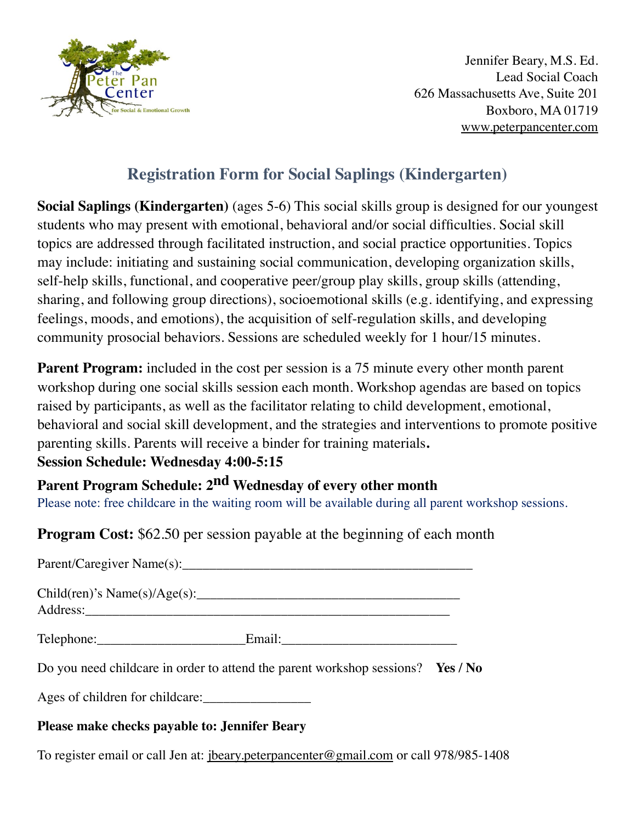

Jennifer Beary, M.S. Ed. Lead Social Coach 626 Massachusetts Ave, Suite 201 Boxboro, MA 01719 [www.peterpancenter.com](http://www.peterpancenter.com)

# **Registration Form for Social Saplings (Kindergarten)**

**Social Saplings (Kindergarten)** (ages 5-6) This social skills group is designed for our youngest students who may present with emotional, behavioral and/or social difficulties. Social skill topics are addressed through facilitated instruction, and social practice opportunities. Topics may include: initiating and sustaining social communication, developing organization skills, self-help skills, functional, and cooperative peer/group play skills, group skills (attending, sharing, and following group directions), socioemotional skills (e.g. identifying, and expressing feelings, moods, and emotions), the acquisition of self-regulation skills, and developing community prosocial behaviors. Sessions are scheduled weekly for 1 hour/15 minutes.

**Parent Program:** included in the cost per session is a 75 minute every other month parent workshop during one social skills session each month. Workshop agendas are based on topics raised by participants, as well as the facilitator relating to child development, emotional, behavioral and social skill development, and the strategies and interventions to promote positive parenting skills. Parents will receive a binder for training materials**.**

### **Session Schedule: Wednesday 4:00-5:15**

## **Parent Program Schedule: 2nd Wednesday of every other month**

Please note: free childcare in the waiting room will be available during all parent workshop sessions.

**Program Cost:** \$62.50 per session payable at the beginning of each month

| Child(ren)'s Name(s)/Age(s):                                                                                                                                                                                                   |  |
|--------------------------------------------------------------------------------------------------------------------------------------------------------------------------------------------------------------------------------|--|
| Email: 2008. [2010] [2010] [2010] [2010] [2010] [2010] [2010] [2010] [2010] [2010] [2010] [2010] [2010] [2010] [2010] [2010] [2010] [2010] [2010] [2010] [2010] [2010] [2010] [2010] [2010] [2010] [2010] [2010] [2010] [2010] |  |
| Do you need childcare in order to attend the parent workshop sessions? Yes / No                                                                                                                                                |  |
| Ages of children for childcare:                                                                                                                                                                                                |  |
| Please make checks payable to: Jennifer Beary                                                                                                                                                                                  |  |

To register email or call Jen at: [jbeary.peterpancenter@gmail.com](mailto:jbeary.peterpancenter@gmail.com) or call 978/985-1408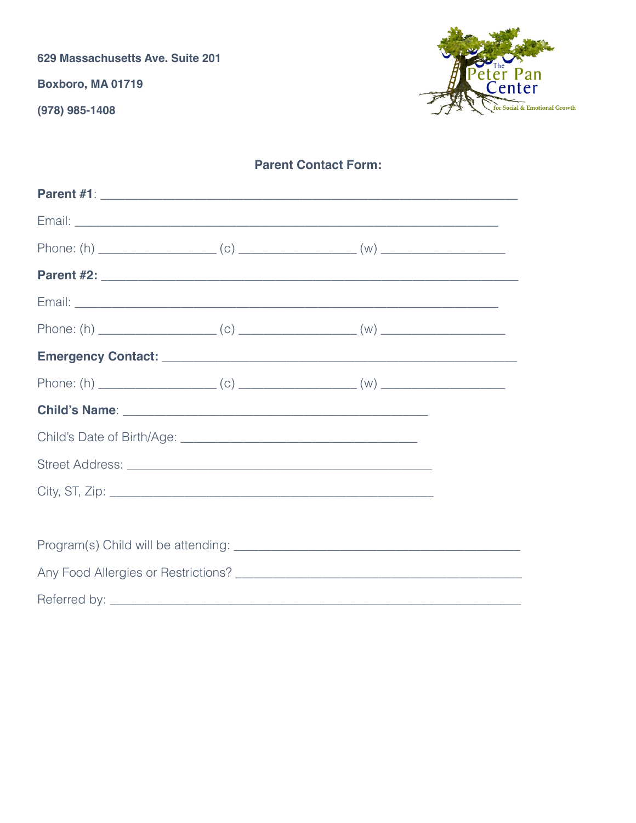629 Massachusetts Ave. Suite 201

Boxboro, MA 01719

 $(978)$  985-1408



**Parent Contact Form:**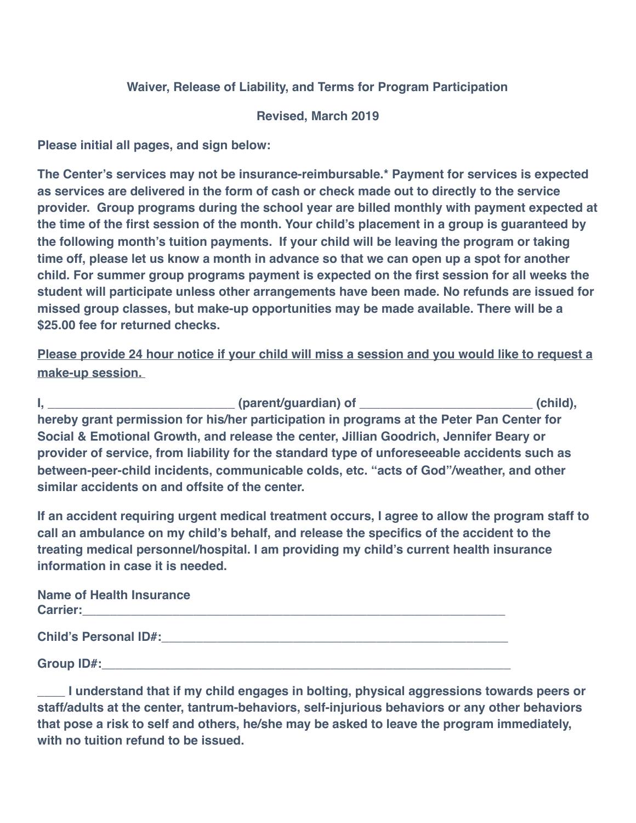#### **Waiver, Release of Liability, and Terms for Program Participation**

#### **Revised, March 2019**

**Please initial all pages, and sign below:**

**The Center's services may not be insurance-reimbursable.\* Payment for services is expected as services are delivered in the form of cash or check made out to directly to the service provider. Group programs during the school year are billed monthly with payment expected at the time of the first session of the month. Your child's placement in a group is guaranteed by the following month's tuition payments. If your child will be leaving the program or taking time off, please let us know a month in advance so that we can open up a spot for another child. For summer group programs payment is expected on the first session for all weeks the student will participate unless other arrangements have been made. No refunds are issued for missed group classes, but make-up opportunities may be made available. There will be a \$25.00 fee for returned checks.**

**Please provide 24 hour notice if your child will miss a session and you would like to request a make-up session.** 

**I**, \_\_\_\_\_\_\_\_\_\_\_\_\_\_\_\_\_\_\_\_\_\_\_\_\_\_\_\_\_\_\_(parent/guardian) of \_\_\_\_\_\_\_\_\_\_\_\_\_\_\_\_\_\_\_\_\_\_\_\_\_\_\_\_\_\_\_\_\_\_(child), **hereby grant permission for his/her participation in programs at the Peter Pan Center for Social & Emotional Growth, and release the center, Jillian Goodrich, Jennifer Beary or provider of service, from liability for the standard type of unforeseeable accidents such as between-peer-child incidents, communicable colds, etc. "acts of God"/weather, and other similar accidents on and offsite of the center.** 

**If an accident requiring urgent medical treatment occurs, I agree to allow the program staff to call an ambulance on my child's behalf, and release the specifics of the accident to the treating medical personnel/hospital. I am providing my child's current health insurance information in case it is needed.**

| <b>Name of Health Insurance</b><br><b>Carrier:</b> |  |  |
|----------------------------------------------------|--|--|
| <b>Child's Personal ID#:</b>                       |  |  |
| Group ID#:                                         |  |  |

**\_\_\_\_ I understand that if my child engages in bolting, physical aggressions towards peers or staff/adults at the center, tantrum-behaviors, self-injurious behaviors or any other behaviors that pose a risk to self and others, he/she may be asked to leave the program immediately, with no tuition refund to be issued.**